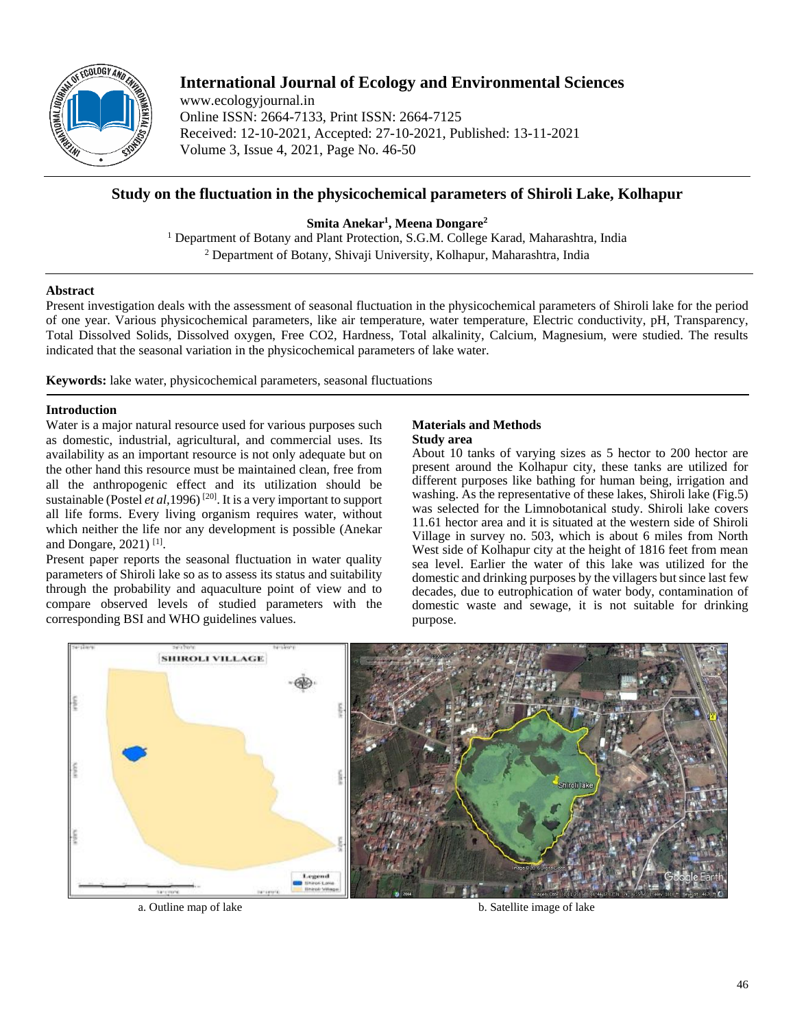

# **International Journal of Ecology and Environmental Sciences**

www.ecologyjournal.in Online ISSN: 2664-7133, Print ISSN: 2664-7125 Received: 12-10-2021, Accepted: 27-10-2021, Published: 13-11-2021 Volume 3, Issue 4, 2021, Page No. 46-50

## **Study on the fluctuation in the physicochemical parameters of Shiroli Lake, Kolhapur**

**Smita Anekar<sup>1</sup> , Meena Dongare<sup>2</sup>**

<sup>1</sup> Department of Botany and Plant Protection, S.G.M. College Karad, Maharashtra, India <sup>2</sup> Department of Botany, Shivaji University, Kolhapur, Maharashtra, India

### **Abstract**

Present investigation deals with the assessment of seasonal fluctuation in the physicochemical parameters of Shiroli lake for the period of one year. Various physicochemical parameters, like air temperature, water temperature, Electric conductivity, pH, Transparency, Total Dissolved Solids, Dissolved oxygen, Free CO2, Hardness, Total alkalinity, Calcium, Magnesium, were studied. The results indicated that the seasonal variation in the physicochemical parameters of lake water.

**Keywords:** lake water, physicochemical parameters, seasonal fluctuations

### **Introduction**

Water is a major natural resource used for various purposes such as domestic, industrial, agricultural, and commercial uses. Its availability as an important resource is not only adequate but on the other hand this resource must be maintained clean, free from all the anthropogenic effect and its utilization should be sustainable (Postel *et al*, 1996)<sup>[20]</sup>. It is a very important to support all life forms. Every living organism requires water, without which neither the life nor any development is possible (Anekar and Dongare, 2021)<sup>[1]</sup>.

Present paper reports the seasonal fluctuation in water quality parameters of Shiroli lake so as to assess its status and suitability through the probability and aquaculture point of view and to compare observed levels of studied parameters with the corresponding BSI and WHO guidelines values.

# **Materials and Methods**

## **Study area**

About 10 tanks of varying sizes as 5 hector to 200 hector are present around the Kolhapur city, these tanks are utilized for different purposes like bathing for human being, irrigation and washing. As the representative of these lakes, Shiroli lake (Fig.5) was selected for the Limnobotanical study. Shiroli lake covers 11.61 hector area and it is situated at the western side of Shiroli Village in survey no. 503, which is about 6 miles from North West side of Kolhapur city at the height of 1816 feet from mean sea level. Earlier the water of this lake was utilized for the domestic and drinking purposes by the villagers but since last few decades, due to eutrophication of water body, contamination of domestic waste and sewage, it is not suitable for drinking purpose.



a. Outline map of lake b. Satellite image of lake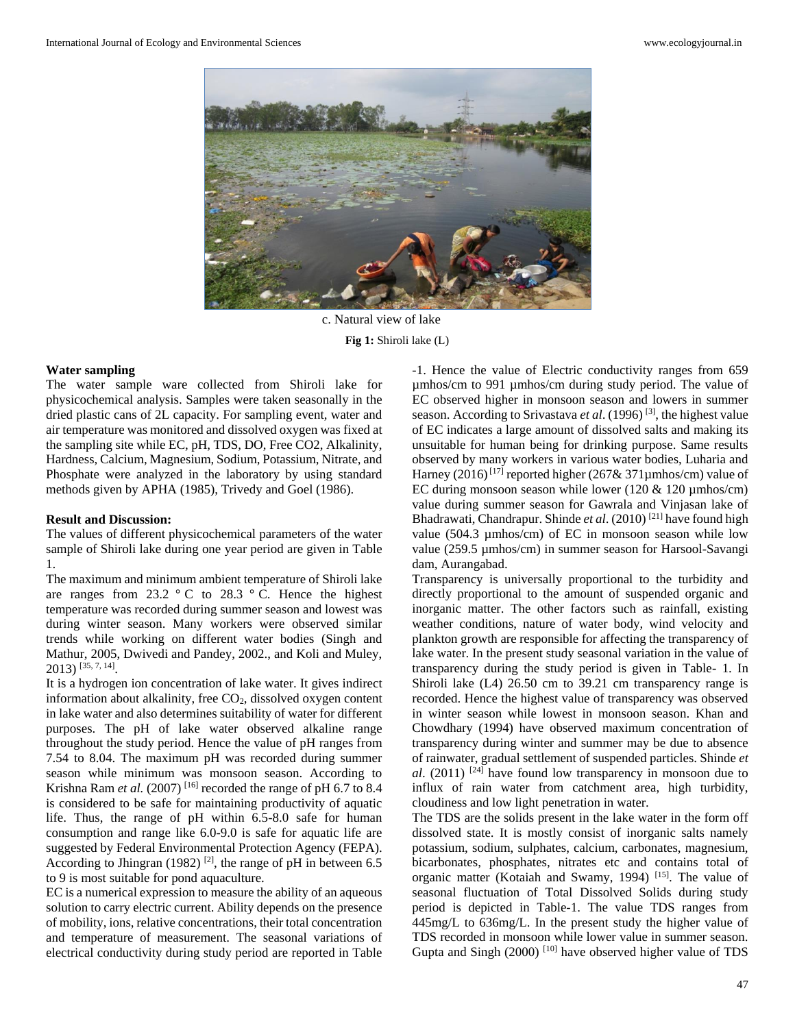

c. Natural view of lake **Fig 1:** Shiroli lake (L)

#### **Water sampling**

The water sample ware collected from Shiroli lake for physicochemical analysis. Samples were taken seasonally in the dried plastic cans of 2L capacity. For sampling event, water and air temperature was monitored and dissolved oxygen was fixed at the sampling site while EC, pH, TDS, DO, Free CO2, Alkalinity, Hardness, Calcium, Magnesium, Sodium, Potassium, Nitrate, and Phosphate were analyzed in the laboratory by using standard methods given by APHA (1985), Trivedy and Goel (1986).

#### **Result and Discussion:**

The values of different physicochemical parameters of the water sample of Shiroli lake during one year period are given in Table 1.

The maximum and minimum ambient temperature of Shiroli lake are ranges from  $23.2 \degree C$  to  $28.3 \degree C$ . Hence the highest temperature was recorded during summer season and lowest was during winter season. Many workers were observed similar trends while working on different water bodies (Singh and Mathur, 2005, Dwivedi and Pandey, 2002., and Koli and Muley, 2013) [35, 7, 14] .

It is a hydrogen ion concentration of lake water. It gives indirect information about alkalinity, free  $CO<sub>2</sub>$ , dissolved oxygen content in lake water and also determines suitability of water for different purposes. The pH of lake water observed alkaline range throughout the study period. Hence the value of pH ranges from 7.54 to 8.04. The maximum pH was recorded during summer season while minimum was monsoon season. According to Krishna Ram *et al.* (2007)<sup>[16]</sup> recorded the range of pH 6.7 to 8.4 is considered to be safe for maintaining productivity of aquatic life. Thus, the range of pH within 6.5-8.0 safe for human consumption and range like 6.0-9.0 is safe for aquatic life are suggested by Federal Environmental Protection Agency (FEPA). According to Jhingran (1982)<sup>[2]</sup>, the range of pH in between 6.5 to 9 is most suitable for pond aquaculture.

EC is a numerical expression to measure the ability of an aqueous solution to carry electric current. Ability depends on the presence of mobility, ions, relative concentrations, their total concentration and temperature of measurement. The seasonal variations of electrical conductivity during study period are reported in Table -1. Hence the value of Electric conductivity ranges from 659 µmhos/cm to 991 µmhos/cm during study period. The value of EC observed higher in monsoon season and lowers in summer season. According to Srivastava et al. (1996)<sup>[3]</sup>, the highest value of EC indicates a large amount of dissolved salts and making its unsuitable for human being for drinking purpose. Same results observed by many workers in various water bodies, Luharia and Harney (2016)<sup>[17]</sup> reported higher (267& 371 $\mu$ mhos/cm) value of EC during monsoon season while lower (120  $\&$  120 µmhos/cm) value during summer season for Gawrala and Vinjasan lake of Bhadrawati, Chandrapur. Shinde *et al*. (2010) [21] have found high value (504.3 µmhos/cm) of EC in monsoon season while low value (259.5 µmhos/cm) in summer season for Harsool-Savangi dam, Aurangabad.

Transparency is universally proportional to the turbidity and directly proportional to the amount of suspended organic and inorganic matter. The other factors such as rainfall, existing weather conditions, nature of water body, wind velocity and plankton growth are responsible for affecting the transparency of lake water. In the present study seasonal variation in the value of transparency during the study period is given in Table- 1. In Shiroli lake (L4) 26.50 cm to 39.21 cm transparency range is recorded. Hence the highest value of transparency was observed in winter season while lowest in monsoon season. Khan and Chowdhary (1994) have observed maximum concentration of transparency during winter and summer may be due to absence of rainwater, gradual settlement of suspended particles. Shinde *et al*. (2011) [24] have found low transparency in monsoon due to influx of rain water from catchment area, high turbidity, cloudiness and low light penetration in water.

The TDS are the solids present in the lake water in the form off dissolved state. It is mostly consist of inorganic salts namely potassium, sodium, sulphates, calcium, carbonates, magnesium, bicarbonates, phosphates, nitrates etc and contains total of organic matter (Kotaiah and Swamy, 1994)<sup>[15]</sup>. The value of seasonal fluctuation of Total Dissolved Solids during study period is depicted in Table-1. The value TDS ranges from 445mg/L to 636mg/L. In the present study the higher value of TDS recorded in monsoon while lower value in summer season. Gupta and Singh (2000)<sup>[10]</sup> have observed higher value of TDS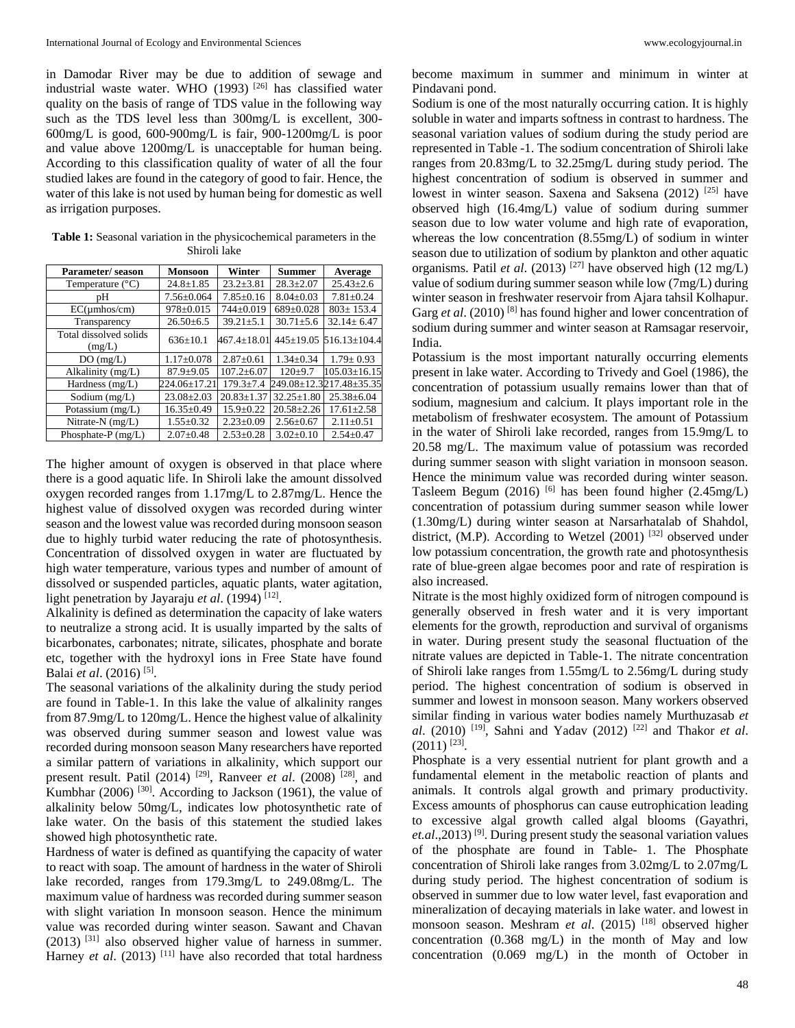in Damodar River may be due to addition of sewage and industrial waste water. WHO (1993) [26] has classified water quality on the basis of range of TDS value in the following way such as the TDS level less than 300mg/L is excellent, 300- 600mg/L is good, 600-900mg/L is fair, 900-1200mg/L is poor and value above 1200mg/L is unacceptable for human being. According to this classification quality of water of all the four studied lakes are found in the category of good to fair. Hence, the water of this lake is not used by human being for domestic as well as irrigation purposes.

| <b>Parameter/season</b>          | <b>Monsoon</b>   | Winter            | <b>Summer</b>    | Average                            |
|----------------------------------|------------------|-------------------|------------------|------------------------------------|
| Temperature $(^{\circ}C)$        | $24.8 \pm 1.85$  | $23.2 \pm 3.81$   | $28.3 + 2.07$    | $25.43 + 2.6$                      |
| pΗ                               | $7.56 \pm 0.064$ | $7.85 \pm 0.16$   | $8.04 \pm 0.03$  | $7.81 \pm 0.24$                    |
| $EC(\mu m \text{hos/cm})$        | $978 \pm 0.015$  | 744±0.019         | $689 \pm 0.028$  | $803 \pm 153.4$                    |
| Transparency                     | $26.50\pm 6.5$   | $39.21 \pm 5.1$   | $30.71 \pm 5.6$  | $32.14 \pm 6.47$                   |
| Total dissolved solids<br>(mg/L) | $636 \pm 10.1$   | $467.4 \pm 18.01$ |                  | $445 \pm 19.05$ 516.13 $\pm$ 104.4 |
| DO(mg/L)                         | $1.17 \pm 0.078$ | $2.87 \pm 0.61$   | $1.34 \pm 0.34$  | $1.79 \pm 0.93$                    |
| Alkalinity (mg/L)                | $87.9 \pm 9.05$  | $107.2 + 6.07$    | $120+9.7$        | $105.03 \pm 16.15$                 |
| Hardness $(mg/L)$                | 224.06±17.21     | $179.3 + 7.4$     |                  | 249.08±12.3217.48±35.35            |
| Sodium $(mg/L)$                  | $23.08 \pm 2.03$ | $20.83 \pm 1.37$  | $32.25 \pm 1.80$ | $25.38 \pm 6.04$                   |
| Potassium $(mg/L)$               | $16.35 \pm 0.49$ | $15.9 \pm 0.22$   | $20.58 \pm 2.26$ | $17.61 \pm 2.58$                   |
| Nitrate-N (mg/L)                 | $1.55 \pm 0.32$  | $2.23 \pm 0.09$   | $2.56 \pm 0.67$  | $2.11 \pm 0.51$                    |
| Phosphate-P $(mg/L)$             | $2.07 \pm 0.48$  | $2.53 \pm 0.28$   | $3.02 \pm 0.10$  | $2.54 \pm 0.47$                    |

**Table 1:** Seasonal variation in the physicochemical parameters in the Shiroli lake

The higher amount of oxygen is observed in that place where there is a good aquatic life. In Shiroli lake the amount dissolved oxygen recorded ranges from 1.17mg/L to 2.87mg/L. Hence the highest value of dissolved oxygen was recorded during winter season and the lowest value was recorded during monsoon season due to highly turbid water reducing the rate of photosynthesis. Concentration of dissolved oxygen in water are fluctuated by high water temperature, various types and number of amount of dissolved or suspended particles, aquatic plants, water agitation, light penetration by Jayaraju *et al.* (1994)<sup>[12]</sup>.

Alkalinity is defined as determination the capacity of lake waters to neutralize a strong acid. It is usually imparted by the salts of bicarbonates, carbonates; nitrate, silicates, phosphate and borate etc, together with the hydroxyl ions in Free State have found Balai *et al*. (2016) [5] .

The seasonal variations of the alkalinity during the study period are found in Table-1. In this lake the value of alkalinity ranges from 87.9mg/L to 120mg/L. Hence the highest value of alkalinity was observed during summer season and lowest value was recorded during monsoon season Many researchers have reported a similar pattern of variations in alkalinity, which support our present result. Patil  $(2014)$  <sup>[29]</sup>, Ranveer *et al.*  $(2008)$ <sup>[28]</sup>, and Kumbhar  $(2006)$ <sup>[30]</sup>. According to Jackson  $(1961)$ , the value of alkalinity below 50mg/L, indicates low photosynthetic rate of lake water. On the basis of this statement the studied lakes showed high photosynthetic rate.

Hardness of water is defined as quantifying the capacity of water to react with soap. The amount of hardness in the water of Shiroli lake recorded, ranges from 179.3mg/L to 249.08mg/L. The maximum value of hardness was recorded during summer season with slight variation In monsoon season. Hence the minimum value was recorded during winter season. Sawant and Chavan  $(2013)$ <sup>[31]</sup> also observed higher value of harness in summer. Harney *et al.* (2013) <sup>[11]</sup> have also recorded that total hardness become maximum in summer and minimum in winter at Pindavani pond.

Sodium is one of the most naturally occurring cation. It is highly soluble in water and imparts softness in contrast to hardness. The seasonal variation values of sodium during the study period are represented in Table -1. The sodium concentration of Shiroli lake ranges from 20.83mg/L to 32.25mg/L during study period. The highest concentration of sodium is observed in summer and lowest in winter season. Saxena and Saksena (2012) <sup>[25]</sup> have observed high (16.4mg/L) value of sodium during summer season due to low water volume and high rate of evaporation, whereas the low concentration (8.55mg/L) of sodium in winter season due to utilization of sodium by plankton and other aquatic organisms. Patil *et al*. (2013) [27] have observed high (12 mg/L) value of sodium during summer season while low (7mg/L) during winter season in freshwater reservoir from Ajara tahsil Kolhapur. Garg *et al.* (2010)<sup>[8]</sup> has found higher and lower concentration of sodium during summer and winter season at Ramsagar reservoir, India.

Potassium is the most important naturally occurring elements present in lake water. According to Trivedy and Goel (1986), the concentration of potassium usually remains lower than that of sodium, magnesium and calcium. It plays important role in the metabolism of freshwater ecosystem. The amount of Potassium in the water of Shiroli lake recorded, ranges from 15.9mg/L to 20.58 mg/L. The maximum value of potassium was recorded during summer season with slight variation in monsoon season. Hence the minimum value was recorded during winter season. Tasleem Begum (2016) <sup>[6]</sup> has been found higher (2.45mg/L) concentration of potassium during summer season while lower (1.30mg/L) during winter season at Narsarhatalab of Shahdol, district, (M.P). According to Wetzel (2001) [32] observed under low potassium concentration, the growth rate and photosynthesis rate of blue-green algae becomes poor and rate of respiration is also increased.

Nitrate is the most highly oxidized form of nitrogen compound is generally observed in fresh water and it is very important elements for the growth, reproduction and survival of organisms in water. During present study the seasonal fluctuation of the nitrate values are depicted in Table-1. The nitrate concentration of Shiroli lake ranges from 1.55mg/L to 2.56mg/L during study period. The highest concentration of sodium is observed in summer and lowest in monsoon season. Many workers observed similar finding in various water bodies namely Murthuzasab *et al*. (2010) [19] , Sahni and Yadav (2012) [22] and Thakor *et al*.  $(2011)^{[23]}$ .

Phosphate is a very essential nutrient for plant growth and a fundamental element in the metabolic reaction of plants and animals. It controls algal growth and primary productivity. Excess amounts of phosphorus can cause eutrophication leading to excessive algal growth called algal blooms (Gayathri, *et.al.*, 2013)<sup>[9]</sup>. During present study the seasonal variation values of the phosphate are found in Table- 1. The Phosphate concentration of Shiroli lake ranges from 3.02mg/L to 2.07mg/L during study period. The highest concentration of sodium is observed in summer due to low water level, fast evaporation and mineralization of decaying materials in lake water. and lowest in monsoon season. Meshram *et al*. (2015) [18] observed higher concentration (0.368 mg/L) in the month of May and low concentration (0.069 mg/L) in the month of October in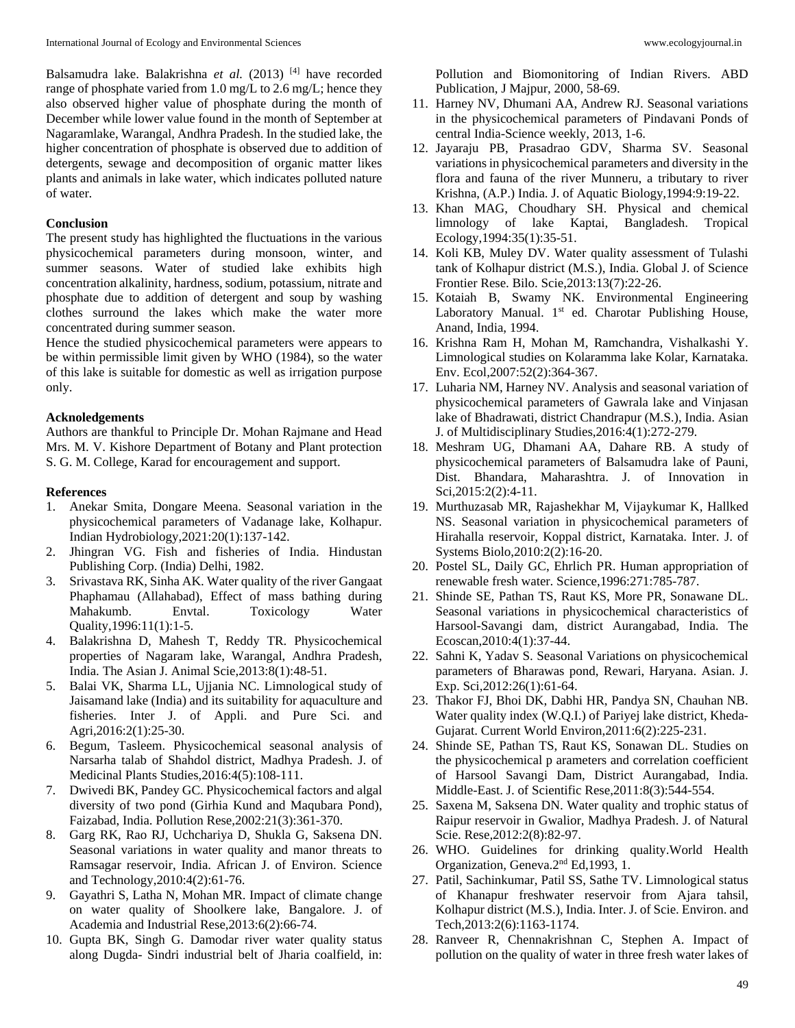Balsamudra lake. Balakrishna *et al.* (2013) <sup>[4]</sup> have recorded range of phosphate varied from 1.0 mg/L to 2.6 mg/L; hence they also observed higher value of phosphate during the month of December while lower value found in the month of September at Nagaramlake, Warangal, Andhra Pradesh. In the studied lake, the higher concentration of phosphate is observed due to addition of detergents, sewage and decomposition of organic matter likes plants and animals in lake water, which indicates polluted nature of water.

#### **Conclusion**

The present study has highlighted the fluctuations in the various physicochemical parameters during monsoon, winter, and summer seasons. Water of studied lake exhibits high concentration alkalinity, hardness, sodium, potassium, nitrate and phosphate due to addition of detergent and soup by washing clothes surround the lakes which make the water more concentrated during summer season.

Hence the studied physicochemical parameters were appears to be within permissible limit given by WHO (1984), so the water of this lake is suitable for domestic as well as irrigation purpose only.

#### **Acknoledgements**

Authors are thankful to Principle Dr. Mohan Rajmane and Head Mrs. M. V. Kishore Department of Botany and Plant protection S. G. M. College, Karad for encouragement and support.

#### **References**

- 1. Anekar Smita, Dongare Meena. Seasonal variation in the physicochemical parameters of Vadanage lake, Kolhapur. Indian Hydrobiology,2021:20(1):137-142.
- 2. Jhingran VG. Fish and fisheries of India. Hindustan Publishing Corp. (India) Delhi, 1982.
- 3. Srivastava RK, Sinha AK. Water quality of the river Gangaat Phaphamau (Allahabad), Effect of mass bathing during Mahakumb. Envtal. Toxicology Water Quality,1996:11(1):1-5.
- 4. Balakrishna D, Mahesh T, Reddy TR. Physicochemical properties of Nagaram lake, Warangal, Andhra Pradesh, India. The Asian J. Animal Scie,2013:8(1):48-51.
- 5. Balai VK, Sharma LL, Ujjania NC. Limnological study of Jaisamand lake (India) and its suitability for aquaculture and fisheries. Inter J. of Appli. and Pure Sci. and Agri,2016:2(1):25-30.
- 6. Begum, Tasleem. Physicochemical seasonal analysis of Narsarha talab of Shahdol district, Madhya Pradesh. J. of Medicinal Plants Studies,2016:4(5):108-111.
- 7. Dwivedi BK, Pandey GC. Physicochemical factors and algal diversity of two pond (Girhia Kund and Maqubara Pond), Faizabad, India. Pollution Rese,2002:21(3):361-370.
- 8. Garg RK, Rao RJ, Uchchariya D, Shukla G, Saksena DN. Seasonal variations in water quality and manor threats to Ramsagar reservoir, India. African J. of Environ. Science and Technology,2010:4(2):61-76.
- 9. Gayathri S, Latha N, Mohan MR. Impact of climate change on water quality of Shoolkere lake, Bangalore. J. of Academia and Industrial Rese,2013:6(2):66-74.
- 10. Gupta BK, Singh G. Damodar river water quality status along Dugda- Sindri industrial belt of Jharia coalfield, in:

Pollution and Biomonitoring of Indian Rivers. ABD Publication, J Majpur, 2000, 58-69.

- 11. Harney NV, Dhumani AA, Andrew RJ. Seasonal variations in the physicochemical parameters of Pindavani Ponds of central India-Science weekly, 2013, 1-6.
- 12. Jayaraju PB, Prasadrao GDV, Sharma SV. Seasonal variations in physicochemical parameters and diversity in the flora and fauna of the river Munneru, a tributary to river Krishna, (A.P.) India. J. of Aquatic Biology,1994:9:19-22.
- 13. Khan MAG, Choudhary SH. Physical and chemical limnology of lake Kaptai, Bangladesh. Tropical Ecology,1994:35(1):35-51.
- 14. Koli KB, Muley DV. Water quality assessment of Tulashi tank of Kolhapur district (M.S.), India. Global J. of Science Frontier Rese. Bilo. Scie,2013:13(7):22-26.
- 15. Kotaiah B, Swamy NK. Environmental Engineering Laboratory Manual. 1<sup>st</sup> ed. Charotar Publishing House, Anand, India, 1994.
- 16. Krishna Ram H, Mohan M, Ramchandra, Vishalkashi Y. Limnological studies on Kolaramma lake Kolar, Karnataka. Env. Ecol,2007:52(2):364-367.
- 17. Luharia NM, Harney NV. Analysis and seasonal variation of physicochemical parameters of Gawrala lake and Vinjasan lake of Bhadrawati, district Chandrapur (M.S.), India. Asian J. of Multidisciplinary Studies,2016:4(1):272-279.
- 18. Meshram UG, Dhamani AA, Dahare RB. A study of physicochemical parameters of Balsamudra lake of Pauni, Dist. Bhandara, Maharashtra. J. of Innovation in Sci,2015:2(2):4-11.
- 19. Murthuzasab MR, Rajashekhar M, Vijaykumar K, Hallked NS. Seasonal variation in physicochemical parameters of Hirahalla reservoir, Koppal district, Karnataka. Inter. J. of Systems Biolo,2010:2(2):16-20.
- 20. Postel SL, Daily GC, Ehrlich PR. Human appropriation of renewable fresh water. Science,1996:271:785-787.
- 21. Shinde SE, Pathan TS, Raut KS, More PR, Sonawane DL. Seasonal variations in physicochemical characteristics of Harsool-Savangi dam, district Aurangabad, India. The Ecoscan,2010:4(1):37-44.
- 22. Sahni K, Yadav S. Seasonal Variations on physicochemical parameters of Bharawas pond, Rewari, Haryana. Asian. J. Exp. Sci,2012:26(1):61-64.
- 23. Thakor FJ, Bhoi DK, Dabhi HR, Pandya SN, Chauhan NB. Water quality index (W.Q.I.) of Pariyej lake district, Kheda-Gujarat. Current World Environ,2011:6(2):225-231.
- 24. Shinde SE, Pathan TS, Raut KS, Sonawan DL. Studies on the physicochemical p arameters and correlation coefficient of Harsool Savangi Dam, District Aurangabad, India. Middle-East. J. of Scientific Rese,2011:8(3):544-554.
- 25. Saxena M, Saksena DN. Water quality and trophic status of Raipur reservoir in Gwalior, Madhya Pradesh. J. of Natural Scie. Rese*,*2012:2(8):82-97.
- 26. WHO. Guidelines for drinking quality.World Health Organization, Geneva.2nd Ed,1993, 1.
- 27. Patil, Sachinkumar, Patil SS, Sathe TV. Limnological status of Khanapur freshwater reservoir from Ajara tahsil, Kolhapur district (M.S.), India. Inter. J. of Scie. Environ. and Tech,2013:2(6):1163-1174.
- 28. Ranveer R, Chennakrishnan C, Stephen A. Impact of pollution on the quality of water in three fresh water lakes of